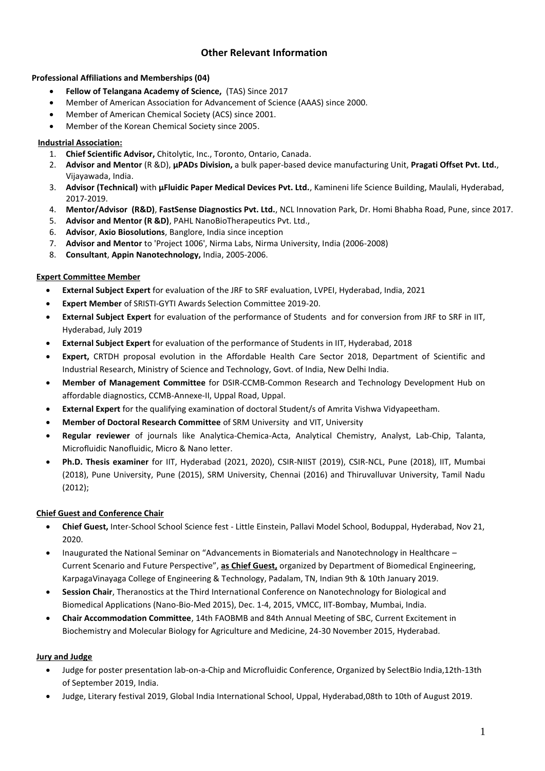# **Other Relevant Information**

# **Professional Affiliations and Memberships (04)**

- **Fellow of Telangana Academy of Science,** (TAS) Since 2017
- Member of American Association for Advancement of Science (AAAS) since 2000.
- Member of American Chemical Society (ACS) since 2001.
- Member of the Korean Chemical Society since 2005.

# **Industrial Association:**

- 1. **Chief Scientific Advisor,** Chitolytic, Inc., Toronto, Ontario, Canada.
- 2. **Advisor and Mentor** (R &D), **µPADs Division,** a bulk paper-based device manufacturing Unit, **Pragati Offset Pvt. Ltd.**, Vijayawada, India.
- 3. **Advisor (Technical)** with **µFluidic Paper Medical Devices Pvt. Ltd.**, Kamineni life Science Building, Maulali, Hyderabad, 2017-2019.
- 4. **Mentor/Advisor (R&D)**, **FastSense Diagnostics Pvt. Ltd.**, NCL Innovation Park, Dr. Homi Bhabha Road, Pune, since 2017.
- 5. **Advisor and Mentor (R &D)**, PAHL NanoBioTherapeutics Pvt. Ltd.,
- 6. **Advisor**, **Axio Biosolutions**, Banglore, India since inception
- 7. **Advisor and Mentor** to 'Project 1006', Nirma Labs, Nirma University, India (2006-2008)
- 8. **Consultant**, **Appin Nanotechnology,** India, 2005-2006.

# **Expert Committee Member**

- **External Subject Expert** for evaluation of the JRF to SRF evaluation, LVPEI, Hyderabad, India, 2021
- **Expert Member** of SRISTI-GYTI Awards Selection Committee 2019-20.
- **External Subject Expert** for evaluation of the performance of Students and for conversion from JRF to SRF in IIT, Hyderabad, July 2019
- **External Subject Expert** for evaluation of the performance of Students in IIT, Hyderabad, 2018
- **Expert,** CRTDH proposal evolution in the Affordable Health Care Sector 2018, Department of Scientific and Industrial Research, Ministry of Science and Technology, Govt. of India, New Delhi India.
- **Member of Management Committee** for DSIR-CCMB-Common Research and Technology Development Hub on affordable diagnostics, CCMB-Annexe-II, Uppal Road, Uppal.
- **External Expert** for the qualifying examination of doctoral Student/s of Amrita Vishwa Vidyapeetham.
- **Member of Doctoral Research Committee** of SRM University and VIT, University
- **Regular reviewer** of journals like Analytica-Chemica-Acta, Analytical Chemistry, Analyst, Lab-Chip, Talanta, Microfluidic Nanofluidic, Micro & Nano letter.
- **Ph.D. Thesis examiner** for IIT, Hyderabad (2021, 2020), CSIR-NIIST (2019), CSIR-NCL, Pune (2018), IIT, Mumbai (2018), Pune University, Pune (2015), SRM University, Chennai (2016) and Thiruvalluvar University, Tamil Nadu (2012);

# **Chief Guest and Conference Chair**

- **Chief Guest,** Inter-School School Science fest Little Einstein, Pallavi Model School, Boduppal, Hyderabad, Nov 21, 2020.
- Inaugurated the National Seminar on "Advancements in Biomaterials and Nanotechnology in Healthcare Current Scenario and Future Perspective", **as Chief Guest,** organized by Department of Biomedical Engineering, KarpagaVinayaga College of Engineering & Technology, Padalam, TN, Indian 9th & 10th January 2019.
- **Session Chair**, Theranostics at the Third International Conference on Nanotechnology for Biological and Biomedical Applications (Nano-Bio-Med 2015), Dec. 1-4, 2015, VMCC, IIT-Bombay, Mumbai, India.
- **Chair Accommodation Committee**, 14th FAOBMB and 84th Annual Meeting of SBC, Current Excitement in Biochemistry and Molecular Biology for Agriculture and Medicine, 24-30 November 2015, Hyderabad.

# **Jury and Judge**

- Judge for poster presentation lab-on-a-Chip and Microfluidic Conference, Organized by SelectBio India,12th-13th of September 2019, India.
- Judge, Literary festival 2019, Global India International School, Uppal, Hyderabad,08th to 10th of August 2019.